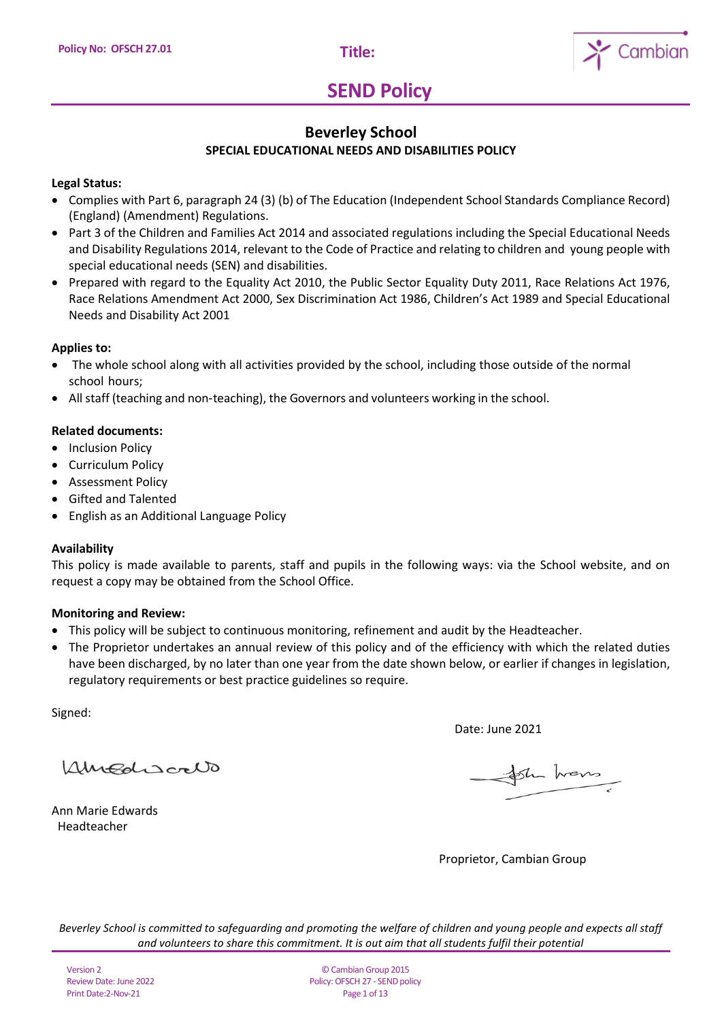

## **Beverley School SPECIAL EDUCATIONAL NEEDS AND DISABILITIES POLICY**

## **Legal Status:**

- Complies with Part 6, paragraph 24 (3) (b) of The Education (Independent School Standards Compliance Record) (England) (Amendment) Regulations.
- Part 3 of the Children and Families Act 2014 and associated regulations including the Special Educational Needs and Disability Regulations 2014, relevant to the Code of Practice and relating to children and young people with special educational needs (SEN) and disabilities.
- Prepared with regard to the Equality Act 2010, the Public Sector Equality Duty 2011, Race Relations Act 1976, Race Relations Amendment Act 2000, Sex Discrimination Act 1986, Children's Act 1989 and Special Educational Needs and Disability Act 2001

## **Applies to:**

- The whole school along with all activities provided by the school, including those outside of the normal school hours;
- All staff (teaching and non-teaching), the Governors and volunteers working in the school.

## **Related documents:**

- Inclusion Policy
- Curriculum Policy
- Assessment Policy
- Gifted and Talented
- English as an Additional Language Policy

### **Availability**

This policy is made available to parents, staff and pupils in the following ways: via the School website, and on request a copy may be obtained from the School Office.

### **Monitoring and Review:**

- This policy will be subject to continuous monitoring, refinement and audit by the Headteacher.
- The Proprietor undertakes an annual review of this policy and of the efficiency with which the related duties have been discharged, by no later than one year from the date shown below, or earlier if changes in legislation, regulatory requirements or best practice guidelines so require.

Signed:

Amadiscrib

Ann Marie Edwards Headteacher

Date: June 2021

for hans

Proprietor, Cambian Group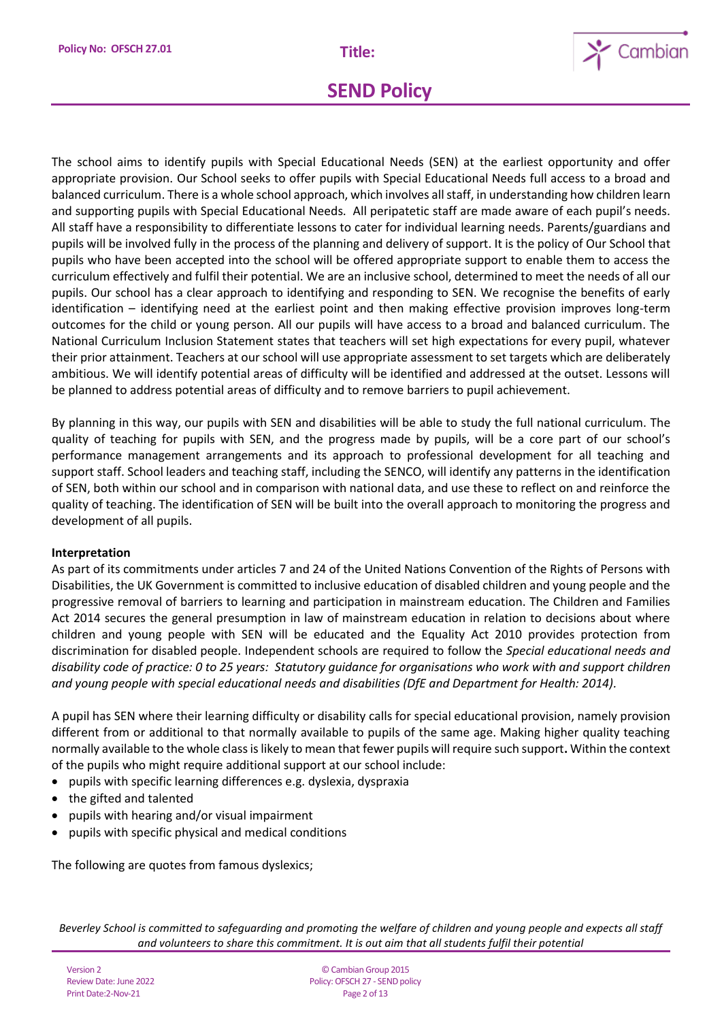

The school aims to identify pupils with Special Educational Needs (SEN) at the earliest opportunity and offer appropriate provision. Our School seeks to offer pupils with Special Educational Needs full access to a broad and balanced curriculum. There is a whole school approach, which involves all staff, in understanding how children learn and supporting pupils with Special Educational Needs. All peripatetic staff are made aware of each pupil's needs. All staff have a responsibility to differentiate lessons to cater for individual learning needs. Parents/guardians and pupils will be involved fully in the process of the planning and delivery of support. It is the policy of Our School that pupils who have been accepted into the school will be offered appropriate support to enable them to access the curriculum effectively and fulfil their potential. We are an inclusive school, determined to meet the needs of all our pupils. Our school has a clear approach to identifying and responding to SEN. We recognise the benefits of early identification – identifying need at the earliest point and then making effective provision improves long-term outcomes for the child or young person. All our pupils will have access to a broad and balanced curriculum. The National Curriculum Inclusion Statement states that teachers will set high expectations for every pupil, whatever their prior attainment. Teachers at our school will use appropriate assessment to set targets which are deliberately ambitious. We will identify potential areas of difficulty will be identified and addressed at the outset. Lessons will be planned to address potential areas of difficulty and to remove barriers to pupil achievement.

By planning in this way, our pupils with SEN and disabilities will be able to study the full national curriculum. The quality of teaching for pupils with SEN, and the progress made by pupils, will be a core part of our school's performance management arrangements and its approach to professional development for all teaching and support staff. School leaders and teaching staff, including the SENCO, will identify any patterns in the identification of SEN, both within our school and in comparison with national data, and use these to reflect on and reinforce the quality of teaching. The identification of SEN will be built into the overall approach to monitoring the progress and development of all pupils.

### **Interpretation**

As part of its commitments under articles 7 and 24 of the United Nations Convention of the Rights of Persons with Disabilities, the UK Government is committed to inclusive education of disabled children and young people and the progressive removal of barriers to learning and participation in mainstream education. The Children and Families Act 2014 secures the general presumption in law of mainstream education in relation to decisions about where children and young people with SEN will be educated and the Equality Act 2010 provides protection from discrimination for disabled people. Independent schools are required to follow the *Special educational needs and disability code of practice: 0 to 25 years: Statutory guidance for organisations who work with and support children and young people with special educational needs and disabilities (DfE and Department for Health: 2014).*

A pupil has SEN where their learning difficulty or disability calls for special educational provision, namely provision different from or additional to that normally available to pupils of the same age. Making higher quality teaching normally available to the whole class is likely to mean that fewer pupils will require such support**.** Within the context of the pupils who might require additional support at our school include:

- pupils with specific learning differences e.g. dyslexia, dyspraxia
- the gifted and talented
- pupils with hearing and/or visual impairment
- pupils with specific physical and medical conditions

The following are quotes from famous dyslexics;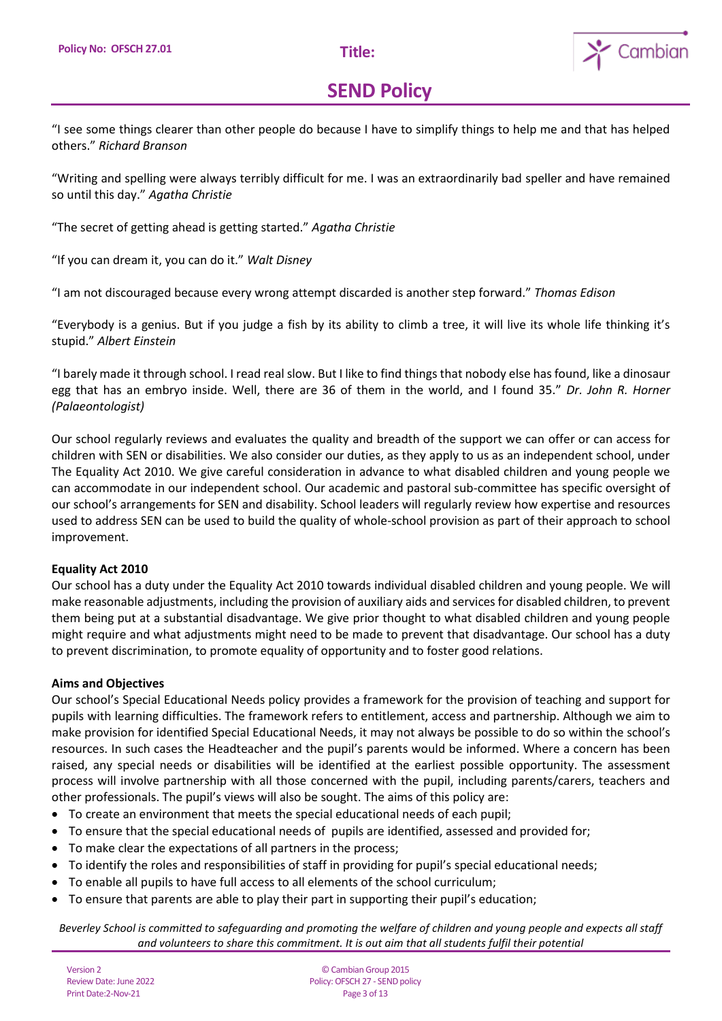

"I see some things clearer than other people do because I have to simplify things to help me and that has helped others." *Richard Branson*

"Writing and spelling were always terribly difficult for me. I was an extraordinarily bad speller and have remained so until this day." *Agatha Christie*

"The secret of getting ahead is getting started." *Agatha Christie*

"If you can dream it, you can do it." *Walt Disney*

"I am not discouraged because every wrong attempt discarded is another step forward." *Thomas Edison*

"Everybody is a genius. But if you judge a fish by its ability to climb a tree, it will live its whole life thinking it's stupid." *Albert Einstein*

"I barely made it through school. I read real slow. But I like to find things that nobody else has found, like a dinosaur egg that has an embryo inside. Well, there are 36 of them in the world, and I found 35." *Dr. John R. Horner (Palaeontologist)*

Our school regularly reviews and evaluates the quality and breadth of the support we can offer or can access for children with SEN or disabilities. We also consider our duties, as they apply to us as an independent school, under The Equality Act 2010. We give careful consideration in advance to what disabled children and young people we can accommodate in our independent school. Our academic and pastoral sub-committee has specific oversight of our school's arrangements for SEN and disability. School leaders will regularly review how expertise and resources used to address SEN can be used to build the quality of whole-school provision as part of their approach to school improvement.

### **Equality Act 2010**

Our school has a duty under the Equality Act 2010 towards individual disabled children and young people. We will make reasonable adjustments, including the provision of auxiliary aids and services for disabled children, to prevent them being put at a substantial disadvantage. We give prior thought to what disabled children and young people might require and what adjustments might need to be made to prevent that disadvantage. Our school has a duty to prevent discrimination, to promote equality of opportunity and to foster good relations.

### **Aims and Objectives**

Our school's Special Educational Needs policy provides a framework for the provision of teaching and support for pupils with learning difficulties. The framework refers to entitlement, access and partnership. Although we aim to make provision for identified Special Educational Needs, it may not always be possible to do so within the school's resources. In such cases the Headteacher and the pupil's parents would be informed. Where a concern has been raised, any special needs or disabilities will be identified at the earliest possible opportunity. The assessment process will involve partnership with all those concerned with the pupil, including parents/carers, teachers and other professionals. The pupil's views will also be sought. The aims of this policy are:

- To create an environment that meets the special educational needs of each pupil;
- To ensure that the special educational needs of pupils are identified, assessed and provided for;
- To make clear the expectations of all partners in the process;
- To identify the roles and responsibilities of staff in providing for pupil's special educational needs;
- To enable all pupils to have full access to all elements of the school curriculum;
- To ensure that parents are able to play their part in supporting their pupil's education;

*Beverley School is committed to safeguarding and promoting the welfare of children and young people and expects all staff and volunteers to share this commitment. It is out aim that all students fulfil their potential*

Version 2 Review Date: June 2022 Print Date:2-Nov-21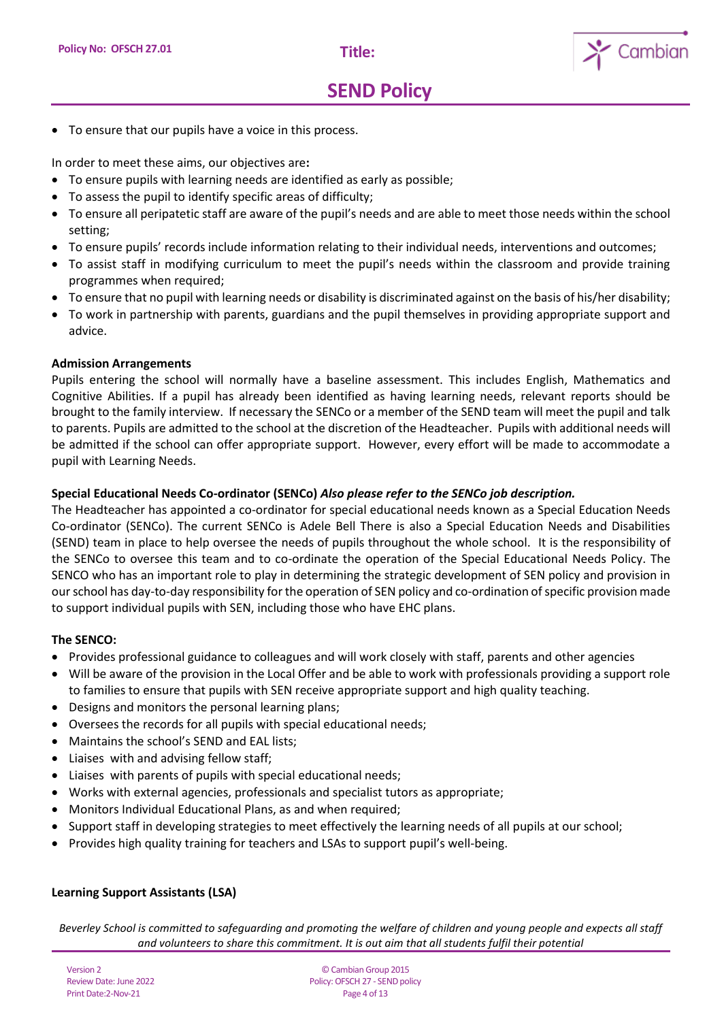

• To ensure that our pupils have a voice in this process.

In order to meet these aims, our objectives are**:** 

- To ensure pupils with learning needs are identified as early as possible;
- To assess the pupil to identify specific areas of difficulty;
- To ensure all peripatetic staff are aware of the pupil's needs and are able to meet those needs within the school setting;
- To ensure pupils' records include information relating to their individual needs, interventions and outcomes;
- To assist staff in modifying curriculum to meet the pupil's needs within the classroom and provide training programmes when required;
- To ensure that no pupil with learning needs or disability is discriminated against on the basis of his/her disability;
- To work in partnership with parents, guardians and the pupil themselves in providing appropriate support and advice.

#### **Admission Arrangements**

Pupils entering the school will normally have a baseline assessment. This includes English, Mathematics and Cognitive Abilities. If a pupil has already been identified as having learning needs, relevant reports should be brought to the family interview. If necessary the SENCo or a member of the SEND team will meet the pupil and talk to parents. Pupils are admitted to the school at the discretion of the Headteacher. Pupils with additional needs will be admitted if the school can offer appropriate support. However, every effort will be made to accommodate a pupil with Learning Needs.

### **Special Educational Needs Co-ordinator (SENCo)** *Also please refer to the SENCo job description.*

The Headteacher has appointed a co-ordinator for special educational needs known as a Special Education Needs Co-ordinator (SENCo). The current SENCo is Adele Bell There is also a Special Education Needs and Disabilities (SEND) team in place to help oversee the needs of pupils throughout the whole school. It is the responsibility of the SENCo to oversee this team and to co-ordinate the operation of the Special Educational Needs Policy. The SENCO who has an important role to play in determining the strategic development of SEN policy and provision in our school has day-to-day responsibility for the operation of SEN policy and co-ordination of specific provision made to support individual pupils with SEN, including those who have EHC plans.

#### **The SENCO:**

- Provides professional guidance to colleagues and will work closely with staff, parents and other agencies
- Will be aware of the provision in the Local Offer and be able to work with professionals providing a support role to families to ensure that pupils with SEN receive appropriate support and high quality teaching.
- Designs and monitors the personal learning plans;
- Oversees the records for all pupils with special educational needs;
- Maintains the school's SEND and EAL lists;
- Liaises with and advising fellow staff;
- Liaises with parents of pupils with special educational needs;
- Works with external agencies, professionals and specialist tutors as appropriate;
- Monitors Individual Educational Plans, as and when required;
- Support staff in developing strategies to meet effectively the learning needs of all pupils at our school;
- Provides high quality training for teachers and LSAs to support pupil's well-being.

### **Learning Support Assistants (LSA)**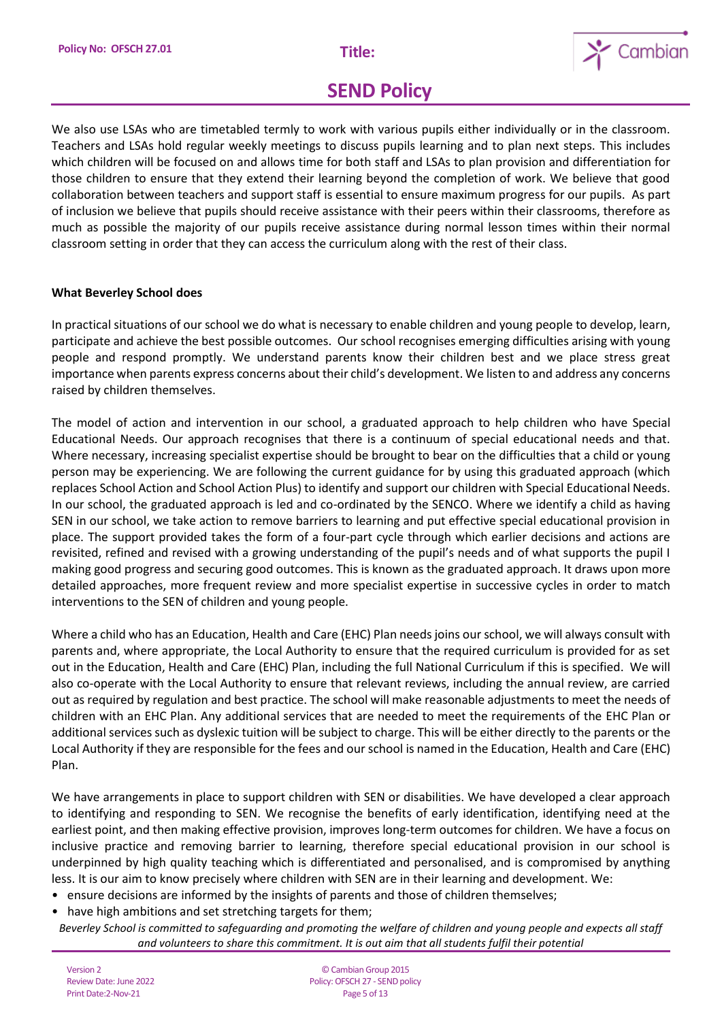

We also use LSAs who are timetabled termly to work with various pupils either individually or in the classroom. Teachers and LSAs hold regular weekly meetings to discuss pupils learning and to plan next steps. This includes which children will be focused on and allows time for both staff and LSAs to plan provision and differentiation for those children to ensure that they extend their learning beyond the completion of work. We believe that good collaboration between teachers and support staff is essential to ensure maximum progress for our pupils. As part of inclusion we believe that pupils should receive assistance with their peers within their classrooms, therefore as much as possible the majority of our pupils receive assistance during normal lesson times within their normal classroom setting in order that they can access the curriculum along with the rest of their class.

## **What Beverley School does**

In practical situations of our school we do what is necessary to enable children and young people to develop, learn, participate and achieve the best possible outcomes. Our school recognises emerging difficulties arising with young people and respond promptly. We understand parents know their children best and we place stress great importance when parents express concerns about their child's development. We listen to and address any concerns raised by children themselves.

The model of action and intervention in our school, a graduated approach to help children who have Special Educational Needs. Our approach recognises that there is a continuum of special educational needs and that. Where necessary, increasing specialist expertise should be brought to bear on the difficulties that a child or young person may be experiencing. We are following the current guidance for by using this graduated approach (which replaces School Action and School Action Plus) to identify and support our children with Special Educational Needs. In our school, the graduated approach is led and co-ordinated by the SENCO. Where we identify a child as having SEN in our school, we take action to remove barriers to learning and put effective special educational provision in place. The support provided takes the form of a four-part cycle through which earlier decisions and actions are revisited, refined and revised with a growing understanding of the pupil's needs and of what supports the pupil I making good progress and securing good outcomes. This is known as the graduated approach. It draws upon more detailed approaches, more frequent review and more specialist expertise in successive cycles in order to match interventions to the SEN of children and young people.

Where a child who has an Education, Health and Care (EHC) Plan needs joins ourschool, we will always consult with parents and, where appropriate, the Local Authority to ensure that the required curriculum is provided for as set out in the Education, Health and Care (EHC) Plan, including the full National Curriculum if this is specified. We will also co-operate with the Local Authority to ensure that relevant reviews, including the annual review, are carried out as required by regulation and best practice. The school will make reasonable adjustments to meet the needs of children with an EHC Plan. Any additional services that are needed to meet the requirements of the EHC Plan or additional services such as dyslexic tuition will be subject to charge. This will be either directly to the parents or the Local Authority if they are responsible for the fees and our school is named in the Education, Health and Care (EHC) Plan.

We have arrangements in place to support children with SEN or disabilities. We have developed a clear approach to identifying and responding to SEN. We recognise the benefits of early identification, identifying need at the earliest point, and then making effective provision, improves long-term outcomes for children. We have a focus on inclusive practice and removing barrier to learning, therefore special educational provision in our school is underpinned by high quality teaching which is differentiated and personalised, and is compromised by anything less. It is our aim to know precisely where children with SEN are in their learning and development. We:

- ensure decisions are informed by the insights of parents and those of children themselves;
- have high ambitions and set stretching targets for them;
- *Beverley School is committed to safeguarding and promoting the welfare of children and young people and expects all staff and volunteers to share this commitment. It is out aim that all students fulfil their potential*

Version 2 Review Date: June 2022 Print Date:2-Nov-21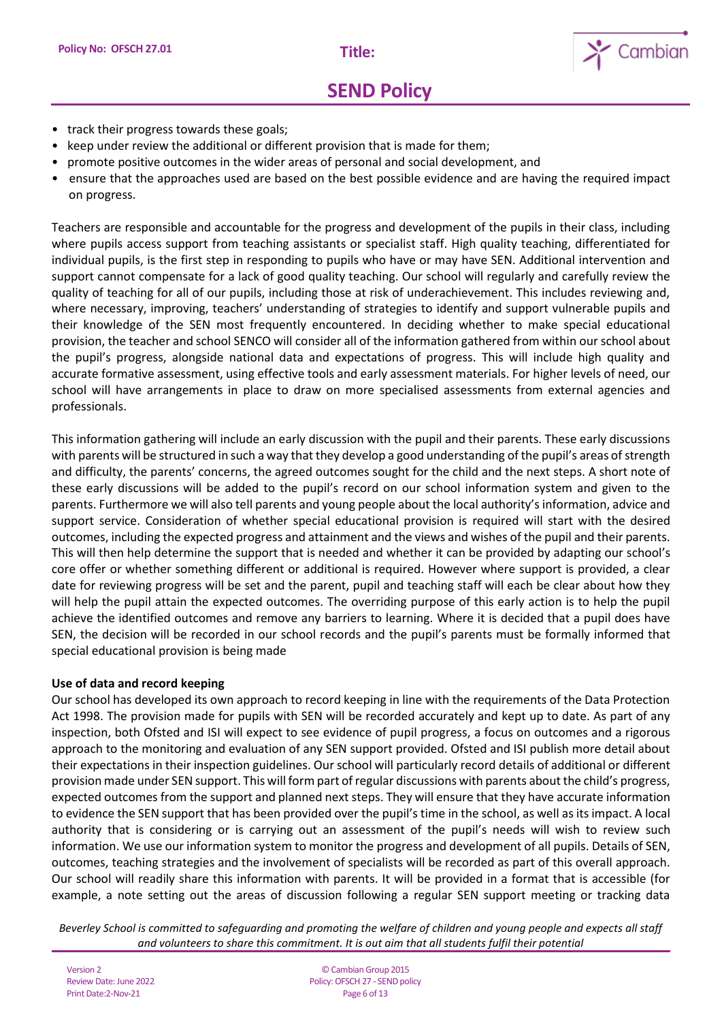

- track their progress towards these goals:
- keep under review the additional or different provision that is made for them;
- promote positive outcomes in the wider areas of personal and social development, and
- ensure that the approaches used are based on the best possible evidence and are having the required impact on progress.

Teachers are responsible and accountable for the progress and development of the pupils in their class, including where pupils access support from teaching assistants or specialist staff. High quality teaching, differentiated for individual pupils, is the first step in responding to pupils who have or may have SEN. Additional intervention and support cannot compensate for a lack of good quality teaching. Our school will regularly and carefully review the quality of teaching for all of our pupils, including those at risk of underachievement. This includes reviewing and, where necessary, improving, teachers' understanding of strategies to identify and support vulnerable pupils and their knowledge of the SEN most frequently encountered. In deciding whether to make special educational provision, the teacher and school SENCO will consider all of the information gathered from within our school about the pupil's progress, alongside national data and expectations of progress. This will include high quality and accurate formative assessment, using effective tools and early assessment materials. For higher levels of need, our school will have arrangements in place to draw on more specialised assessments from external agencies and professionals.

This information gathering will include an early discussion with the pupil and their parents. These early discussions with parents will be structured in such a way that they develop a good understanding of the pupil's areas of strength and difficulty, the parents' concerns, the agreed outcomes sought for the child and the next steps. A short note of these early discussions will be added to the pupil's record on our school information system and given to the parents. Furthermore we will also tell parents and young people about the local authority's information, advice and support service. Consideration of whether special educational provision is required will start with the desired outcomes, including the expected progress and attainment and the views and wishes of the pupil and their parents. This will then help determine the support that is needed and whether it can be provided by adapting our school's core offer or whether something different or additional is required. However where support is provided, a clear date for reviewing progress will be set and the parent, pupil and teaching staff will each be clear about how they will help the pupil attain the expected outcomes. The overriding purpose of this early action is to help the pupil achieve the identified outcomes and remove any barriers to learning. Where it is decided that a pupil does have SEN, the decision will be recorded in our school records and the pupil's parents must be formally informed that special educational provision is being made

#### **Use of data and record keeping**

Our school has developed its own approach to record keeping in line with the requirements of the Data Protection Act 1998. The provision made for pupils with SEN will be recorded accurately and kept up to date. As part of any inspection, both Ofsted and ISI will expect to see evidence of pupil progress, a focus on outcomes and a rigorous approach to the monitoring and evaluation of any SEN support provided. Ofsted and ISI publish more detail about their expectations in their inspection guidelines. Our school will particularly record details of additional or different provision made under SEN support. This will form part of regular discussions with parents about the child's progress, expected outcomes from the support and planned next steps. They will ensure that they have accurate information to evidence the SEN support that has been provided over the pupil's time in the school, as well as its impact. A local authority that is considering or is carrying out an assessment of the pupil's needs will wish to review such information. We use our information system to monitor the progress and development of all pupils. Details of SEN, outcomes, teaching strategies and the involvement of specialists will be recorded as part of this overall approach. Our school will readily share this information with parents. It will be provided in a format that is accessible (for example, a note setting out the areas of discussion following a regular SEN support meeting or tracking data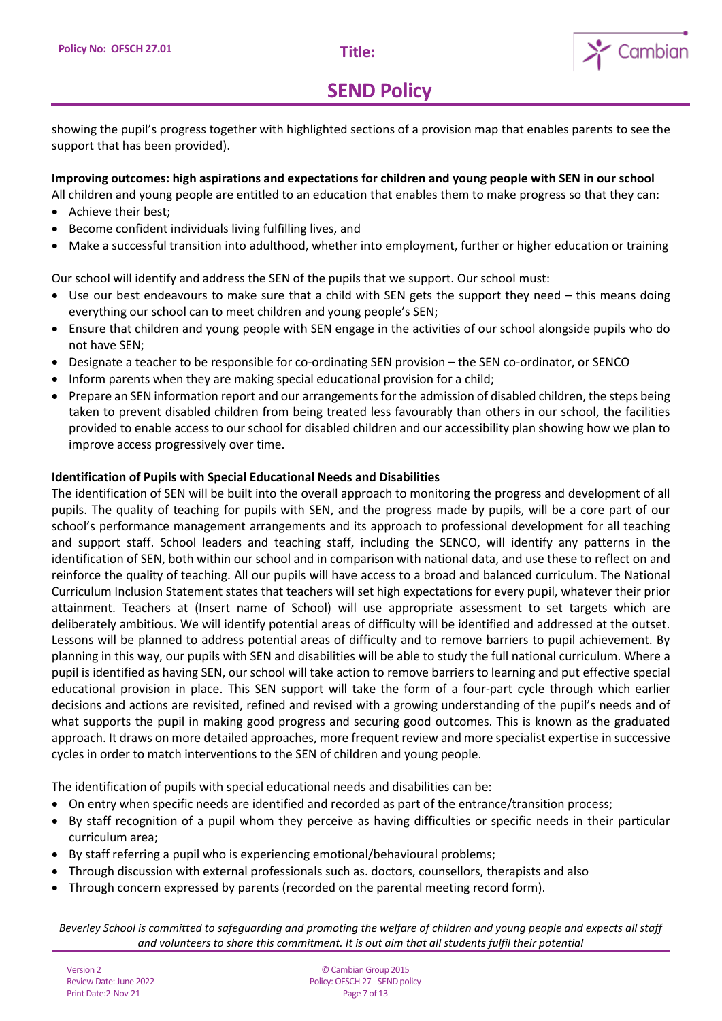

showing the pupil's progress together with highlighted sections of a provision map that enables parents to see the support that has been provided).

## **Improving outcomes: high aspirations and expectations for children and young people with SEN in our school**

All children and young people are entitled to an education that enables them to make progress so that they can:

- Achieve their best;
- Become confident individuals living fulfilling lives, and
- Make a successful transition into adulthood, whether into employment, further or higher education or training

Our school will identify and address the SEN of the pupils that we support. Our school must:

- Use our best endeavours to make sure that a child with SEN gets the support they need this means doing everything our school can to meet children and young people's SEN;
- Ensure that children and young people with SEN engage in the activities of our school alongside pupils who do not have SEN;
- Designate a teacher to be responsible for co-ordinating SEN provision the SEN co-ordinator, or SENCO
- Inform parents when they are making special educational provision for a child;
- Prepare an SEN information report and our arrangements for the admission of disabled children, the steps being taken to prevent disabled children from being treated less favourably than others in our school, the facilities provided to enable access to our school for disabled children and our accessibility plan showing how we plan to improve access progressively over time.

### **Identification of Pupils with Special Educational Needs and Disabilities**

The identification of SEN will be built into the overall approach to monitoring the progress and development of all pupils. The quality of teaching for pupils with SEN, and the progress made by pupils, will be a core part of our school's performance management arrangements and its approach to professional development for all teaching and support staff. School leaders and teaching staff, including the SENCO, will identify any patterns in the identification of SEN, both within our school and in comparison with national data, and use these to reflect on and reinforce the quality of teaching. All our pupils will have access to a broad and balanced curriculum. The National Curriculum Inclusion Statement states that teachers will set high expectations for every pupil, whatever their prior attainment. Teachers at (Insert name of School) will use appropriate assessment to set targets which are deliberately ambitious. We will identify potential areas of difficulty will be identified and addressed at the outset. Lessons will be planned to address potential areas of difficulty and to remove barriers to pupil achievement. By planning in this way, our pupils with SEN and disabilities will be able to study the full national curriculum. Where a pupil is identified as having SEN, our school will take action to remove barriers to learning and put effective special educational provision in place. This SEN support will take the form of a four-part cycle through which earlier decisions and actions are revisited, refined and revised with a growing understanding of the pupil's needs and of what supports the pupil in making good progress and securing good outcomes. This is known as the graduated approach. It draws on more detailed approaches, more frequent review and more specialist expertise in successive cycles in order to match interventions to the SEN of children and young people.

The identification of pupils with special educational needs and disabilities can be:

- On entry when specific needs are identified and recorded as part of the entrance/transition process;
- By staff recognition of a pupil whom they perceive as having difficulties or specific needs in their particular curriculum area;
- By staff referring a pupil who is experiencing emotional/behavioural problems;
- Through discussion with external professionals such as. doctors, counsellors, therapists and also
- Through concern expressed by parents (recorded on the parental meeting record form).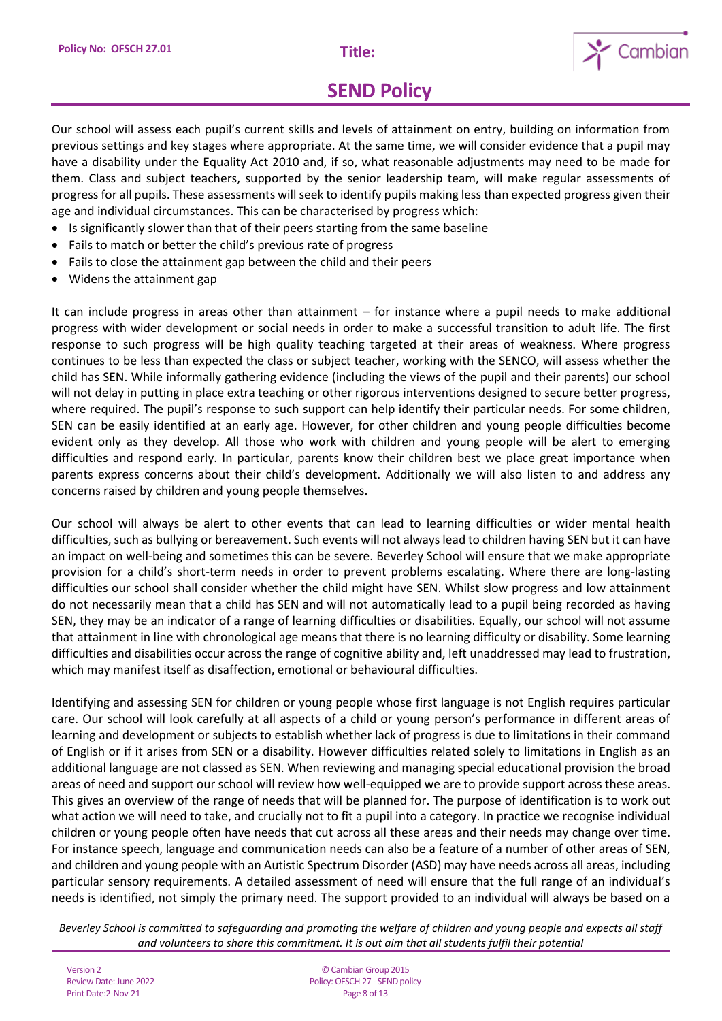

Our school will assess each pupil's current skills and levels of attainment on entry, building on information from previous settings and key stages where appropriate. At the same time, we will consider evidence that a pupil may have a disability under the Equality Act 2010 and, if so, what reasonable adjustments may need to be made for them. Class and subject teachers, supported by the senior leadership team, will make regular assessments of progress for all pupils. These assessments will seek to identify pupils making less than expected progress given their age and individual circumstances. This can be characterised by progress which:

- Is significantly slower than that of their peers starting from the same baseline
- Fails to match or better the child's previous rate of progress
- Fails to close the attainment gap between the child and their peers
- Widens the attainment gap

It can include progress in areas other than attainment – for instance where a pupil needs to make additional progress with wider development or social needs in order to make a successful transition to adult life. The first response to such progress will be high quality teaching targeted at their areas of weakness. Where progress continues to be less than expected the class or subject teacher, working with the SENCO, will assess whether the child has SEN. While informally gathering evidence (including the views of the pupil and their parents) our school will not delay in putting in place extra teaching or other rigorous interventions designed to secure better progress, where required. The pupil's response to such support can help identify their particular needs. For some children, SEN can be easily identified at an early age. However, for other children and young people difficulties become evident only as they develop. All those who work with children and young people will be alert to emerging difficulties and respond early. In particular, parents know their children best we place great importance when parents express concerns about their child's development. Additionally we will also listen to and address any concerns raised by children and young people themselves.

Our school will always be alert to other events that can lead to learning difficulties or wider mental health difficulties, such as bullying or bereavement. Such events will not always lead to children having SEN but it can have an impact on well-being and sometimes this can be severe. Beverley School will ensure that we make appropriate provision for a child's short-term needs in order to prevent problems escalating. Where there are long-lasting difficulties our school shall consider whether the child might have SEN. Whilst slow progress and low attainment do not necessarily mean that a child has SEN and will not automatically lead to a pupil being recorded as having SEN, they may be an indicator of a range of learning difficulties or disabilities. Equally, our school will not assume that attainment in line with chronological age means that there is no learning difficulty or disability. Some learning difficulties and disabilities occur across the range of cognitive ability and, left unaddressed may lead to frustration, which may manifest itself as disaffection, emotional or behavioural difficulties.

Identifying and assessing SEN for children or young people whose first language is not English requires particular care. Our school will look carefully at all aspects of a child or young person's performance in different areas of learning and development or subjects to establish whether lack of progress is due to limitations in their command of English or if it arises from SEN or a disability. However difficulties related solely to limitations in English as an additional language are not classed as SEN. When reviewing and managing special educational provision the broad areas of need and support our school will review how well-equipped we are to provide support across these areas. This gives an overview of the range of needs that will be planned for. The purpose of identification is to work out what action we will need to take, and crucially not to fit a pupil into a category. In practice we recognise individual children or young people often have needs that cut across all these areas and their needs may change over time. For instance speech, language and communication needs can also be a feature of a number of other areas of SEN, and children and young people with an Autistic Spectrum Disorder (ASD) may have needs across all areas, including particular sensory requirements. A detailed assessment of need will ensure that the full range of an individual's needs is identified, not simply the primary need. The support provided to an individual will always be based on a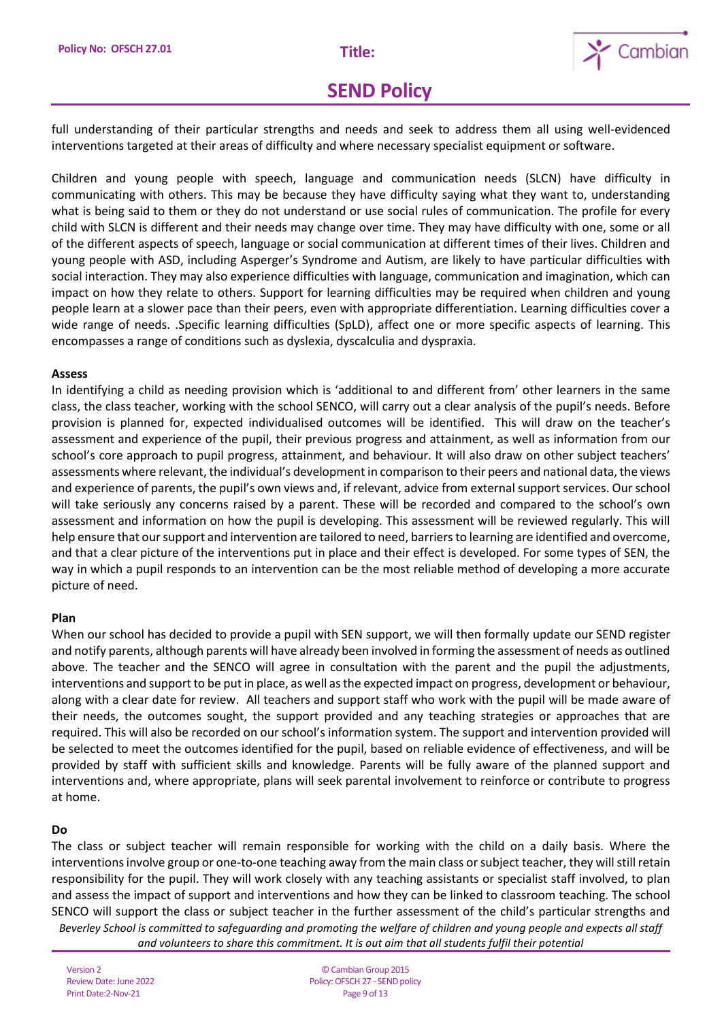

full understanding of their particular strengths and needs and seek to address them all using well-evidenced interventions targeted at their areas of difficulty and where necessary specialist equipment or software.

Children and young people with speech, language and communication needs (SLCN) have difficulty in communicating with others. This may be because they have difficulty saying what they want to, understanding what is being said to them or they do not understand or use social rules of communication. The profile for every child with SLCN is different and their needs may change over time. They may have difficulty with one, some or all of the different aspects of speech, language or social communication at different times of their lives. Children and young people with ASD, including Asperger's Syndrome and Autism, are likely to have particular difficulties with social interaction. They may also experience difficulties with language, communication and imagination, which can impact on how they relate to others. Support for learning difficulties may be required when children and young people learn at a slower pace than their peers, even with appropriate differentiation. Learning difficulties cover a wide range of needs. .Specific learning difficulties (SpLD), affect one or more specific aspects of learning. This encompasses a range of conditions such as dyslexia, dyscalculia and dyspraxia.

#### **Assess**

In identifying a child as needing provision which is 'additional to and different from' other learners in the same class, the class teacher, working with the school SENCO, will carry out a clear analysis of the pupil's needs. Before provision is planned for, expected individualised outcomes will be identified. This will draw on the teacher's assessment and experience of the pupil, their previous progress and attainment, as well as information from our school's core approach to pupil progress, attainment, and behaviour. It will also draw on other subject teachers' assessments where relevant, the individual's development in comparison to their peers and national data, the views and experience of parents, the pupil's own views and, if relevant, advice from external support services. Our school will take seriously any concerns raised by a parent. These will be recorded and compared to the school's own assessment and information on how the pupil is developing. This assessment will be reviewed regularly. This will help ensure that our support and intervention are tailored to need, barriers to learning are identified and overcome, and that a clear picture of the interventions put in place and their effect is developed. For some types of SEN, the way in which a pupil responds to an intervention can be the most reliable method of developing a more accurate picture of need.

#### **Plan**

When our school has decided to provide a pupil with SEN support, we will then formally update our SEND register and notify parents, although parents will have already been involved in forming the assessment of needs as outlined above. The teacher and the SENCO will agree in consultation with the parent and the pupil the adjustments, interventions and support to be put in place, as well as the expected impact on progress, development or behaviour, along with a clear date for review. All teachers and support staff who work with the pupil will be made aware of their needs, the outcomes sought, the support provided and any teaching strategies or approaches that are required. This will also be recorded on our school's information system. The support and intervention provided will be selected to meet the outcomes identified for the pupil, based on reliable evidence of effectiveness, and will be provided by staff with sufficient skills and knowledge. Parents will be fully aware of the planned support and interventions and, where appropriate, plans will seek parental involvement to reinforce or contribute to progress at home.

### **Do**

*Beverley School is committed to safeguarding and promoting the welfare of children and young people and expects all staff*  The class or subject teacher will remain responsible for working with the child on a daily basis. Where the interventions involve group or one-to-one teaching away from the main class or subject teacher, they will still retain responsibility for the pupil. They will work closely with any teaching assistants or specialist staff involved, to plan and assess the impact of support and interventions and how they can be linked to classroom teaching. The school SENCO will support the class or subject teacher in the further assessment of the child's particular strengths and

*and volunteers to share this commitment. It is out aim that all students fulfil their potential*

Version 2 Review Date: June 2022 Print Date:2-Nov-21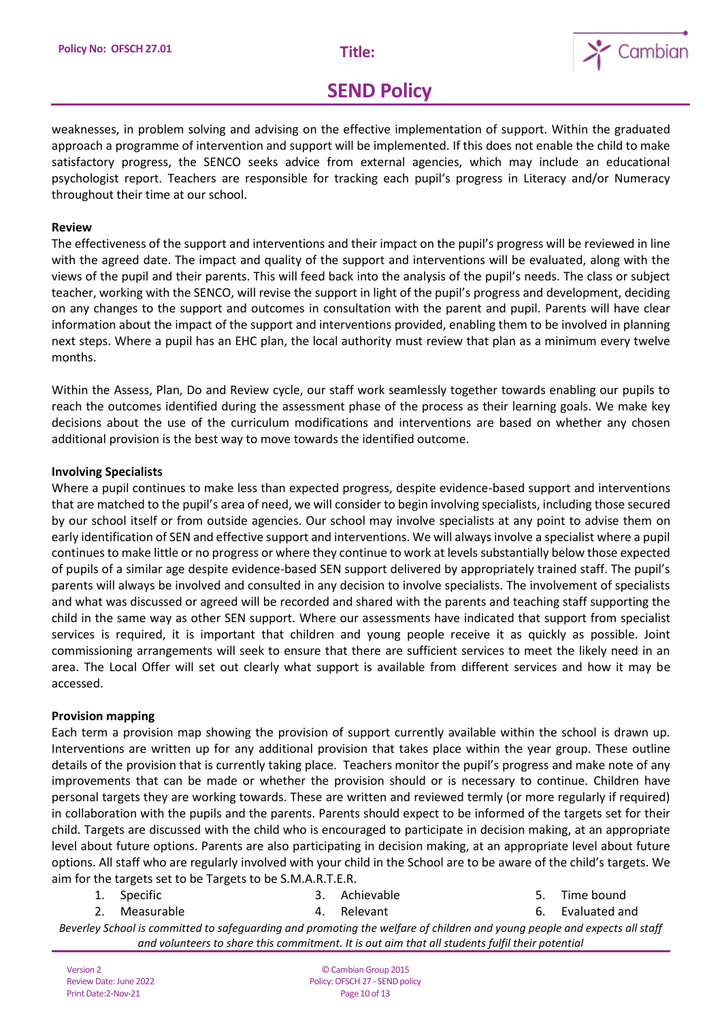

weaknesses, in problem solving and advising on the effective implementation of support. Within the graduated approach a programme of intervention and support will be implemented. If this does not enable the child to make satisfactory progress, the SENCO seeks advice from external agencies, which may include an educational psychologist report. Teachers are responsible for tracking each pupil's progress in Literacy and/or Numeracy throughout their time at our school.

#### **Review**

The effectiveness of the support and interventions and their impact on the pupil's progress will be reviewed in line with the agreed date. The impact and quality of the support and interventions will be evaluated, along with the views of the pupil and their parents. This will feed back into the analysis of the pupil's needs. The class or subject teacher, working with the SENCO, will revise the support in light of the pupil's progress and development, deciding on any changes to the support and outcomes in consultation with the parent and pupil. Parents will have clear information about the impact of the support and interventions provided, enabling them to be involved in planning next steps. Where a pupil has an EHC plan, the local authority must review that plan as a minimum every twelve months.

Within the Assess, Plan, Do and Review cycle, our staff work seamlessly together towards enabling our pupils to reach the outcomes identified during the assessment phase of the process as their learning goals. We make key decisions about the use of the curriculum modifications and interventions are based on whether any chosen additional provision is the best way to move towards the identified outcome.

#### **Involving Specialists**

Where a pupil continues to make less than expected progress, despite evidence-based support and interventions that are matched to the pupil's area of need, we will consider to begin involving specialists, including those secured by our school itself or from outside agencies. Our school may involve specialists at any point to advise them on early identification of SEN and effective support and interventions. We will always involve a specialist where a pupil continues to make little or no progress or where they continue to work at levels substantially below those expected of pupils of a similar age despite evidence-based SEN support delivered by appropriately trained staff. The pupil's parents will always be involved and consulted in any decision to involve specialists. The involvement of specialists and what was discussed or agreed will be recorded and shared with the parents and teaching staff supporting the child in the same way as other SEN support. Where our assessments have indicated that support from specialist services is required, it is important that children and young people receive it as quickly as possible. Joint commissioning arrangements will seek to ensure that there are sufficient services to meet the likely need in an area. The Local Offer will set out clearly what support is available from different services and how it may be accessed.

#### **Provision mapping**

Each term a provision map showing the provision of support currently available within the school is drawn up. Interventions are written up for any additional provision that takes place within the year group. These outline details of the provision that is currently taking place. Teachers monitor the pupil's progress and make note of any improvements that can be made or whether the provision should or is necessary to continue. Children have personal targets they are working towards. These are written and reviewed termly (or more regularly if required) in collaboration with the pupils and the parents. Parents should expect to be informed of the targets set for their child. Targets are discussed with the child who is encouraged to participate in decision making, at an appropriate level about future options. Parents are also participating in decision making, at an appropriate level about future options. All staff who are regularly involved with your child in the School are to be aware of the child's targets. We aim for the targets set to be Targets to be S.M.A.R.T.E.R.

1. Specific 2. Measurable 4. Relevant

3. Achievable

5. Time bound 6. Evaluated and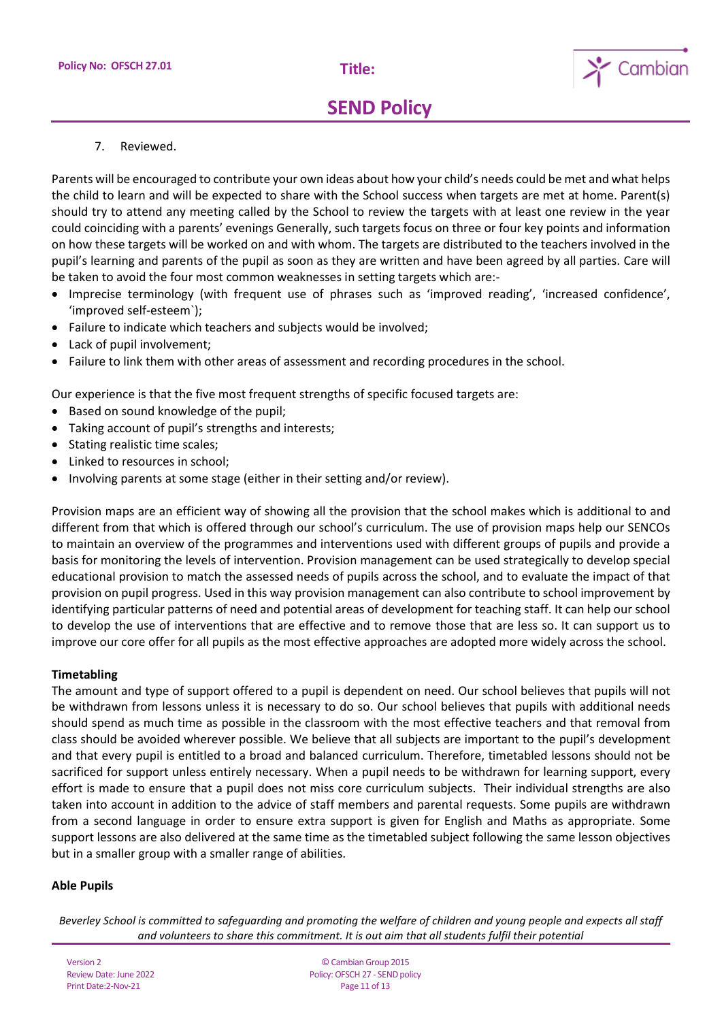

7. Reviewed.

Parents will be encouraged to contribute your own ideas about how your child's needs could be met and what helps the child to learn and will be expected to share with the School success when targets are met at home. Parent(s) should try to attend any meeting called by the School to review the targets with at least one review in the year could coinciding with a parents' evenings Generally, such targets focus on three or four key points and information on how these targets will be worked on and with whom. The targets are distributed to the teachers involved in the pupil's learning and parents of the pupil as soon as they are written and have been agreed by all parties. Care will be taken to avoid the four most common weaknesses in setting targets which are:-

- Imprecise terminology (with frequent use of phrases such as 'improved reading', 'increased confidence', 'improved self-esteem`);
- Failure to indicate which teachers and subjects would be involved;
- Lack of pupil involvement:
- Failure to link them with other areas of assessment and recording procedures in the school.

Our experience is that the five most frequent strengths of specific focused targets are:

- Based on sound knowledge of the pupil;
- Taking account of pupil's strengths and interests;
- Stating realistic time scales;
- Linked to resources in school;
- Involving parents at some stage (either in their setting and/or review).

Provision maps are an efficient way of showing all the provision that the school makes which is additional to and different from that which is offered through our school's curriculum. The use of provision maps help our SENCOs to maintain an overview of the programmes and interventions used with different groups of pupils and provide a basis for monitoring the levels of intervention. Provision management can be used strategically to develop special educational provision to match the assessed needs of pupils across the school, and to evaluate the impact of that provision on pupil progress. Used in this way provision management can also contribute to school improvement by identifying particular patterns of need and potential areas of development for teaching staff. It can help our school to develop the use of interventions that are effective and to remove those that are less so. It can support us to improve our core offer for all pupils as the most effective approaches are adopted more widely across the school.

### **Timetabling**

The amount and type of support offered to a pupil is dependent on need. Our school believes that pupils will not be withdrawn from lessons unless it is necessary to do so. Our school believes that pupils with additional needs should spend as much time as possible in the classroom with the most effective teachers and that removal from class should be avoided wherever possible. We believe that all subjects are important to the pupil's development and that every pupil is entitled to a broad and balanced curriculum. Therefore, timetabled lessons should not be sacrificed for support unless entirely necessary. When a pupil needs to be withdrawn for learning support, every effort is made to ensure that a pupil does not miss core curriculum subjects. Their individual strengths are also taken into account in addition to the advice of staff members and parental requests. Some pupils are withdrawn from a second language in order to ensure extra support is given for English and Maths as appropriate. Some support lessons are also delivered at the same time as the timetabled subject following the same lesson objectives but in a smaller group with a smaller range of abilities.

### **Able Pupils**

*Beverley School is committed to safeguarding and promoting the welfare of children and young people and expects all staff and volunteers to share this commitment. It is out aim that all students fulfil their potential*

Version 2 Review Date: June 2022 Print Date:2-Nov-21

© Cambian Group 2015 Policy: OFSCH 27 - SEND policy Page 11 of 13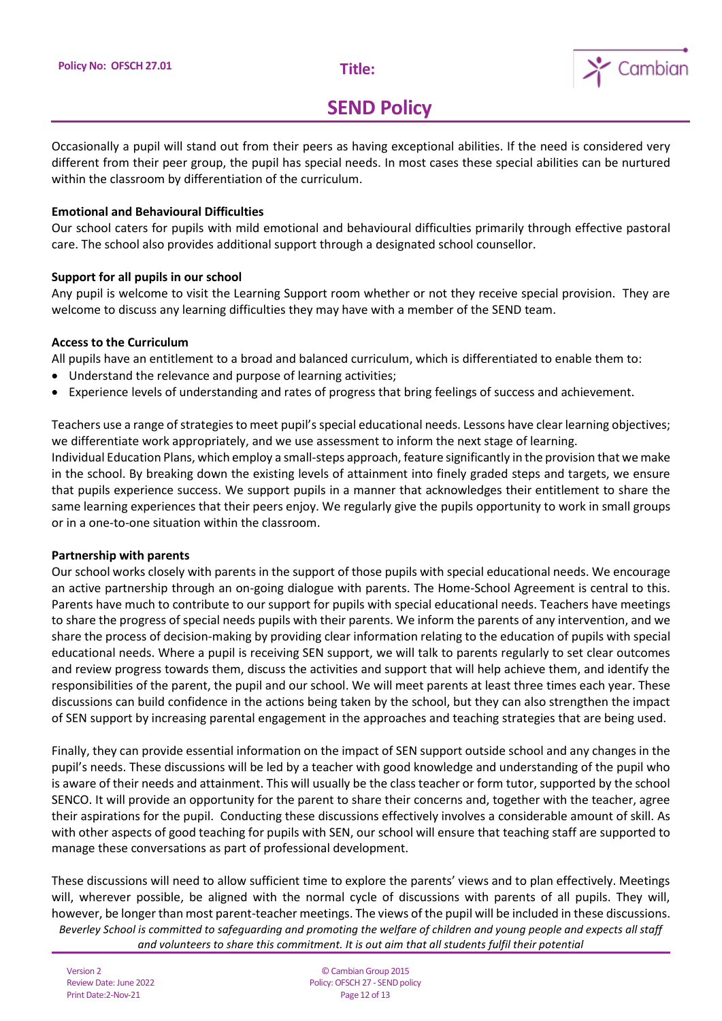

Occasionally a pupil will stand out from their peers as having exceptional abilities. If the need is considered very different from their peer group, the pupil has special needs. In most cases these special abilities can be nurtured within the classroom by differentiation of the curriculum.

### **Emotional and Behavioural Difficulties**

Our school caters for pupils with mild emotional and behavioural difficulties primarily through effective pastoral care. The school also provides additional support through a designated school counsellor.

### **Support for all pupils in our school**

Any pupil is welcome to visit the Learning Support room whether or not they receive special provision. They are welcome to discuss any learning difficulties they may have with a member of the SEND team.

### **Access to the Curriculum**

All pupils have an entitlement to a broad and balanced curriculum, which is differentiated to enable them to:

- Understand the relevance and purpose of learning activities;
- Experience levels of understanding and rates of progress that bring feelings of success and achievement.

Teachers use a range of strategies to meet pupil's special educational needs. Lessons have clear learning objectives; we differentiate work appropriately, and we use assessment to inform the next stage of learning.

Individual Education Plans, which employ a small-steps approach, feature significantly in the provision that we make in the school. By breaking down the existing levels of attainment into finely graded steps and targets, we ensure that pupils experience success. We support pupils in a manner that acknowledges their entitlement to share the same learning experiences that their peers enjoy. We regularly give the pupils opportunity to work in small groups or in a one-to-one situation within the classroom.

### **Partnership with parents**

Our school works closely with parents in the support of those pupils with special educational needs. We encourage an active partnership through an on-going dialogue with parents. The Home-School Agreement is central to this. Parents have much to contribute to our support for pupils with special educational needs. Teachers have meetings to share the progress of special needs pupils with their parents. We inform the parents of any intervention, and we share the process of decision-making by providing clear information relating to the education of pupils with special educational needs. Where a pupil is receiving SEN support, we will talk to parents regularly to set clear outcomes and review progress towards them, discuss the activities and support that will help achieve them, and identify the responsibilities of the parent, the pupil and our school. We will meet parents at least three times each year. These discussions can build confidence in the actions being taken by the school, but they can also strengthen the impact of SEN support by increasing parental engagement in the approaches and teaching strategies that are being used.

Finally, they can provide essential information on the impact of SEN support outside school and any changes in the pupil's needs. These discussions will be led by a teacher with good knowledge and understanding of the pupil who is aware of their needs and attainment. This will usually be the class teacher or form tutor, supported by the school SENCO. It will provide an opportunity for the parent to share their concerns and, together with the teacher, agree their aspirations for the pupil. Conducting these discussions effectively involves a considerable amount of skill. As with other aspects of good teaching for pupils with SEN, our school will ensure that teaching staff are supported to manage these conversations as part of professional development.

*Beverley School is committed to safeguarding and promoting the welfare of children and young people and expects all staff and volunteers to share this commitment. It is out aim that all students fulfil their potential* These discussions will need to allow sufficient time to explore the parents' views and to plan effectively. Meetings will, wherever possible, be aligned with the normal cycle of discussions with parents of all pupils. They will, however, be longer than most parent-teacher meetings. The views of the pupil will be included in these discussions.